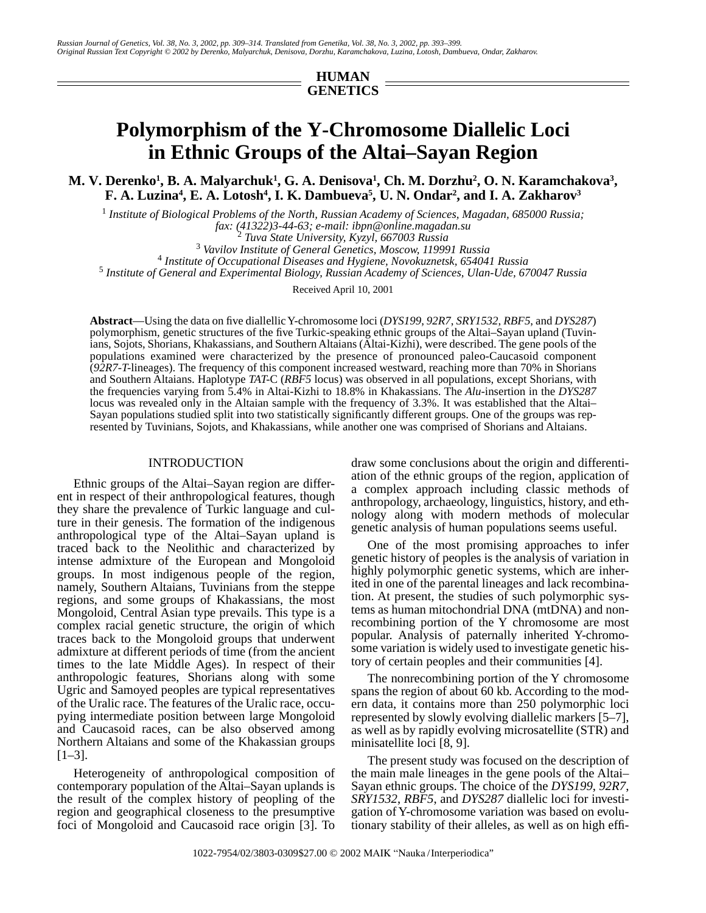## **HUMAN GENETICS**

# **Polymorphism of the Y-Chromosome Diallelic Loci in Ethnic Groups of the Altai–Sayan Region**

M. V. Derenko<sup>1</sup>, B. A. Malyarchuk<sup>1</sup>, G. A. Denisova<sup>1</sup>, Ch. M. Dorzhu<sup>2</sup>, O. N. Karamchakova<sup>3</sup>, **F. A. Luzina<sup>4</sup>, E. A. Lotosh<sup>4</sup>, I. K. Dambueva<sup>5</sup>, U. N. Ondar<sup>2</sup>, and I. A. Zakharov<sup>3</sup>** 

<sup>1</sup> Institute of Biological Problems of the North, Russian Academy of Sciences, Magadan, 685000 Russia; *fax: (41322)3-44-63; e-mail: ibpn@online.magadan.su* <sup>2</sup>

 *Tuva State University, Kyzyl, 667003 Russia* <sup>3</sup>

 *Vavilov Institute of General Genetics, Moscow, 119991 Russia* <sup>4</sup>

 *Institute of Occupational Diseases and Hygiene, Novokuznetsk, 654041 Russia* <sup>5</sup>

 *Institute of General and Experimental Biology, Russian Academy of Sciences, Ulan-Ude, 670047 Russia*

Received April 10, 2001

**Abstract**—Using the data on five diallellic Y-chromosome loci (*DYS199*, *92R7*, *SRY1532*, *RBF5*, and *DYS287*) polymorphism, genetic structures of the five Turkic-speaking ethnic groups of the Altai–Sayan upland (Tuvinians, Sojots, Shorians, Khakassians, and Southern Altaians (Altai-Kizhi), were described. The gene pools of the populations examined were characterized by the presence of pronounced paleo-Caucasoid component (*92R7-T*-lineages). The frequency of this component increased westward, reaching more than 70% in Shorians and Southern Altaians. Haplotype *TAT*-C (*RBF5* locus) was observed in all populations, except Shorians, with the frequencies varying from 5.4% in Altai-Kizhi to 18.8% in Khakassians. The *Alu*-insertion in the *DYS287* locus was revealed only in the Altaian sample with the frequency of 3.3%. It was established that the Altai– Sayan populations studied split into two statistically significantly different groups. One of the groups was represented by Tuvinians, Sojots, and Khakassians, while another one was comprised of Shorians and Altaians.

#### INTRODUCTION

Ethnic groups of the Altai–Sayan region are different in respect of their anthropological features, though they share the prevalence of Turkic language and culture in their genesis. The formation of the indigenous anthropological type of the Altai–Sayan upland is traced back to the Neolithic and characterized by intense admixture of the European and Mongoloid groups. In most indigenous people of the region, namely, Southern Altaians, Tuvinians from the steppe regions, and some groups of Khakassians, the most Mongoloid, Central Asian type prevails. This type is a complex racial genetic structure, the origin of which traces back to the Mongoloid groups that underwent admixture at different periods of time (from the ancient times to the late Middle Ages). In respect of their anthropologic features, Shorians along with some Ugric and Samoyed peoples are typical representatives of the Uralic race. The features of the Uralic race, occupying intermediate position between large Mongoloid and Caucasoid races, can be also observed among Northern Altaians and some of the Khakassian groups [1–3].

Heterogeneity of anthropological composition of contemporary population of the Altai–Sayan uplands is the result of the complex history of peopling of the region and geographical closeness to the presumptive foci of Mongoloid and Caucasoid race origin [3]. To draw some conclusions about the origin and differentiation of the ethnic groups of the region, application of a complex approach including classic methods of anthropology, archaeology, linguistics, history, and ethnology along with modern methods of molecular genetic analysis of human populations seems useful.

One of the most promising approaches to infer genetic history of peoples is the analysis of variation in highly polymorphic genetic systems, which are inherited in one of the parental lineages and lack recombination. At present, the studies of such polymorphic systems as human mitochondrial DNA (mtDNA) and nonrecombining portion of the Y chromosome are most popular. Analysis of paternally inherited Y-chromosome variation is widely used to investigate genetic history of certain peoples and their communities [4].

The nonrecombining portion of the Y chromosome spans the region of about 60 kb. According to the modern data, it contains more than 250 polymorphic loci represented by slowly evolving diallelic markers [5–7], as well as by rapidly evolving microsatellite (STR) and minisatellite loci [8, 9].

The present study was focused on the description of the main male lineages in the gene pools of the Altai– Sayan ethnic groups. The choice of the *DYS199*, *92R7*, *SRY1532*, *RBF5*, and *DYS287* diallelic loci for investigation of Y-chromosome variation was based on evolutionary stability of their alleles, as well as on high effi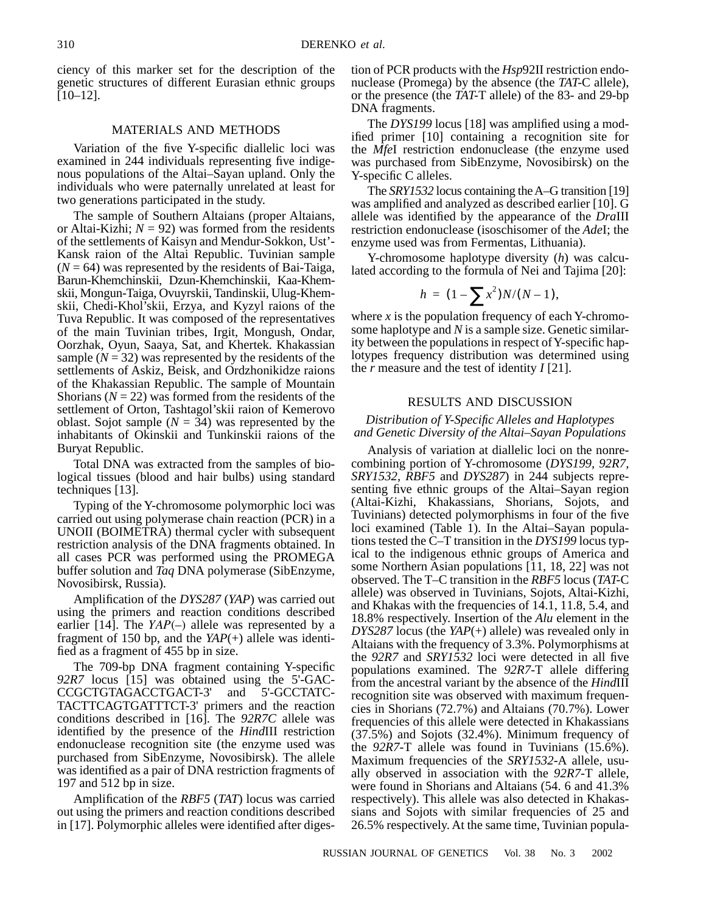ciency of this marker set for the description of the genetic structures of different Eurasian ethnic groups [10–12].

## MATERIALS AND METHODS

Variation of the five Y-specific diallelic loci was examined in 244 individuals representing five indigenous populations of the Altai–Sayan upland. Only the individuals who were paternally unrelated at least for two generations participated in the study.

The sample of Southern Altaians (proper Altaians, or Altai-Kizhi;  $N = 92$ ) was formed from the residents of the settlements of Kaisyn and Mendur-Sokkon, Ust'- Kansk raion of the Altai Republic. Tuvinian sample  $(N = 64)$  was represented by the residents of Bai-Taiga, Barun-Khemchinskii, Dzun-Khemchinskii, Kaa-Khemskii, Mongun-Taiga, Ovuyrskii, Tandinskii, Ulug-Khemskii, Chedi-Khol'skii, Erzya, and Kyzyl raions of the Tuva Republic. It was composed of the representatives of the main Tuvinian tribes, Irgit, Mongush, Ondar, Oorzhak, Oyun, Saaya, Sat, and Khertek. Khakassian sample  $(N = 32)$  was represented by the residents of the settlements of Askiz, Beisk, and Ordzhonikidze raions of the Khakassian Republic. The sample of Mountain Shorians  $(N = 22)$  was formed from the residents of the settlement of Orton, Tashtagol'skii raion of Kemerovo oblast. Sojot sample  $(N = 34)$  was represented by the inhabitants of Okinskii and Tunkinskii raions of the Buryat Republic.

Total DNA was extracted from the samples of biological tissues (blood and hair bulbs) using standard techniques [13].

Typing of the Y-chromosome polymorphic loci was carried out using polymerase chain reaction (PCR) in a UNOII (BOIMETRA) thermal cycler with subsequent restriction analysis of the DNA fragments obtained. In all cases PCR was performed using the PROMEGA buffer solution and *Taq* DNA polymerase (SibEnzyme, Novosibirsk, Russia).

Amplification of the *DYS287* (*YAP*) was carried out using the primers and reaction conditions described earlier [14]. The *YAP*(-) allele was represented by a fragment of 150 bp, and the *YAP*(+) allele was identified as a fragment of 455 bp in size.

The 709-bp DNA fragment containing Y-specific *92R7* locus [15] was obtained using the 5'-GAC-CCGCTGTAGACCTGACT-3' and 5'-GCCTATC-TACTTCAGTGATTTCT-3' primers and the reaction conditions described in [16]. The *92R7C* allele was identified by the presence of the *Hind*III restriction endonuclease recognition site (the enzyme used was purchased from SibEnzyme, Novosibirsk). The allele was identified as a pair of DNA restriction fragments of 197 and 512 bp in size.

Amplification of the *RBF5* (*TAT*) locus was carried out using the primers and reaction conditions described in [17]. Polymorphic alleles were identified after digestion of PCR products with the *Hsp*92II restriction endonuclease (Promega) by the absence (the *TAT*-C allele), or the presence (the *TAT*-T allele) of the 83- and 29-bp DNA fragments.

The *DYS199* locus [18] was amplified using a modified primer [10] containing a recognition site for the *Mfe*I restriction endonuclease (the enzyme used was purchased from SibEnzyme, Novosibirsk) on the Y-specific C alleles.

The *SRY1532* locus containing the A–G transition [19] was amplified and analyzed as described earlier [10]. G allele was identified by the appearance of the *Dra*III restriction endonuclease (isoschisomer of the *Ade*I; the enzyme used was from Fermentas, Lithuania).

Y-chromosome haplotype diversity (*h*) was calculated according to the formula of Nei and Tajima [20]:

$$
h = (1 - \sum x^2)N/(N-1),
$$

where *x* is the population frequency of each Y-chromosome haplotype and *N* is a sample size. Genetic similarity between the populations in respect of Y-specific haplotypes frequency distribution was determined using the *r* measure and the test of identity *I* [21].

#### RESULTS AND DISCUSSION

## *Distribution of Y-Specific Alleles and Haplotypes and Genetic Diversity of the Altai–Sayan Populations*

Analysis of variation at diallelic loci on the nonrecombining portion of Y-chromosome (*DYS199, 92R7, SRY1532, RBF5* and *DYS287*) in 244 subjects representing five ethnic groups of the Altai–Sayan region (Altai-Kizhi, Khakassians, Shorians, Sojots, and Tuvinians) detected polymorphisms in four of the five loci examined (Table 1). In the Altai–Sayan populations tested the C–T transition in the *DYS199* locus typical to the indigenous ethnic groups of America and some Northern Asian populations [11, 18, 22] was not observed. The T–C transition in the *RBF5* locus (*TAT*-C allele) was observed in Tuvinians, Sojots, Altai-Kizhi, and Khakas with the frequencies of 14.1, 11.8, 5.4, and 18.8% respectively. Insertion of the *Alu* element in the *DYS287* locus (the *YAP*(+) allele) was revealed only in Altaians with the frequency of 3.3%. Polymorphisms at the *92R7* and *SRY1532* loci were detected in all five populations examined. The *92R7*-T allele differing from the ancestral variant by the absence of the *Hind*III recognition site was observed with maximum frequencies in Shorians (72.7%) and Altaians (70.7%). Lower frequencies of this allele were detected in Khakassians (37.5%) and Sojots (32.4%). Minimum frequency of the *92R7-*T allele was found in Tuvinians (15.6%). Maximum frequencies of the *SRY1532*-A allele, usually observed in association with the *92R7*-T allele, were found in Shorians and Altaians (54. 6 and 41.3% respectively). This allele was also detected in Khakassians and Sojots with similar frequencies of 25 and 26.5% respectively. At the same time, Tuvinian popula-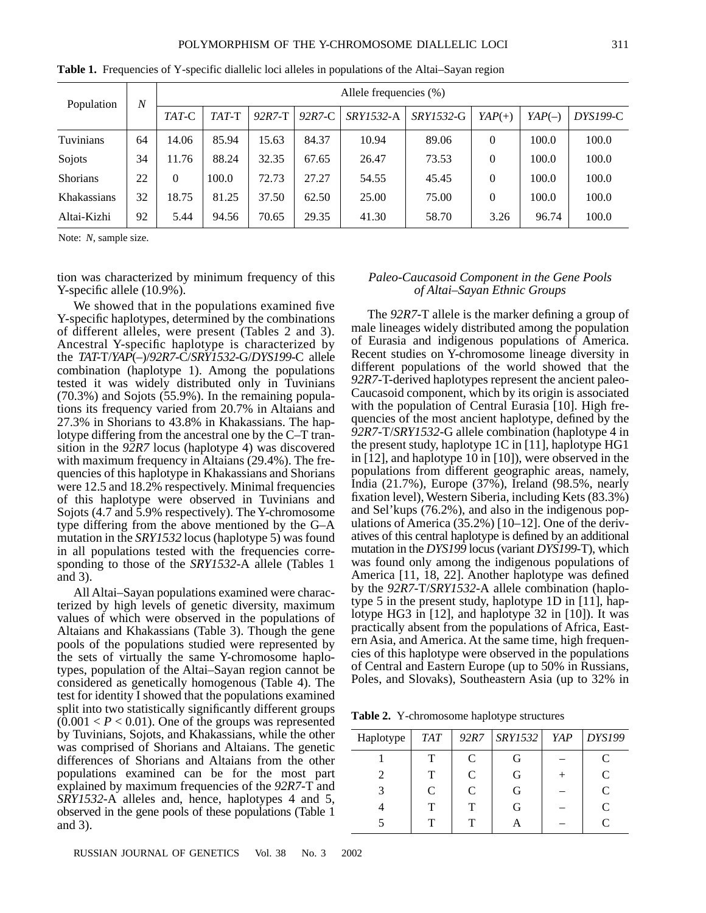|    | Allele frequencies (%) |         |            |          |           |                  |          |          |          |
|----|------------------------|---------|------------|----------|-----------|------------------|----------|----------|----------|
|    | TAT-C                  | $TAT-T$ | $92R7 - T$ | $92R7-C$ | SRY1532-A | <i>SRY1532-G</i> | $YAP(+)$ | $YAP(-)$ | DYS199-C |
| 64 | 14.06                  | 85.94   | 15.63      | 84.37    | 10.94     | 89.06            |          | 100.0    | 100.0    |
| 34 | 11.76                  | 88.24   | 32.35      | 67.65    | 26.47     | 73.53            | 0        | 100.0    | 100.0    |
| 22 | 0                      | 100.0   | 72.73      | 27.27    | 54.55     | 45.45            | 0        | 100.0    | 100.0    |
| 32 | 18.75                  | 81.25   | 37.50      | 62.50    | 25.00     | 75.00            | 0        | 100.0    | 100.0    |
| 92 | 5.44                   | 94.56   | 70.65      | 29.35    | 41.30     | 58.70            | 3.26     | 96.74    | 100.0    |
|    | $\boldsymbol{N}$       |         |            |          |           |                  |          |          |          |

**Table 1.** Frequencies of Y-specific diallelic loci alleles in populations of the Altai–Sayan region

Note: *N*, sample size.

tion was characterized by minimum frequency of this Y-specific allele (10.9%).

We showed that in the populations examined five Y-specific haplotypes, determined by the combinations of different alleles, were present (Tables 2 and 3). Ancestral Y-specific haplotype is characterized by the *TAT*-T/*YAP*(–)/*92R7*-C/*SRY1532*-G/*DYS199*-C allele combination (haplotype 1). Among the populations tested it was widely distributed only in Tuvinians (70.3%) and Sojots (55.9%). In the remaining populations its frequency varied from 20.7% in Altaians and 27.3% in Shorians to 43.8% in Khakassians. The haplotype differing from the ancestral one by the C–T transition in the *92R7* locus (haplotype 4) was discovered with maximum frequency in Altaians (29.4%). The frequencies of this haplotype in Khakassians and Shorians were 12.5 and 18.2% respectively. Minimal frequencies of this haplotype were observed in Tuvinians and Sojots (4.7 and 5.9% respectively). The Y-chromosome type differing from the above mentioned by the G–A mutation in the *SRY1532* locus (haplotype 5) was found in all populations tested with the frequencies corresponding to those of the *SRY1532*-A allele (Tables 1 and 3).

All Altai–Sayan populations examined were characterized by high levels of genetic diversity, maximum values of which were observed in the populations of Altaians and Khakassians (Table 3). Though the gene pools of the populations studied were represented by the sets of virtually the same Y-chromosome haplotypes, population of the Altai–Sayan region cannot be considered as genetically homogenous (Table 4). The test for identity I showed that the populations examined split into two statistically significantly different groups  $(0.001 < P < 0.01)$ . One of the groups was represented by Tuvinians, Sojots, and Khakassians, while the other was comprised of Shorians and Altaians. The genetic differences of Shorians and Altaians from the other populations examined can be for the most part explained by maximum frequencies of the *92R7*-T and *SRY1532*-A alleles and, hence, haplotypes 4 and 5, observed in the gene pools of these populations (Table 1 and 3).

#### *Paleo-Caucasoid Component in the Gene Pools of Altai–Sayan Ethnic Groups*

The *92R7*-T allele is the marker defining a group of male lineages widely distributed among the population of Eurasia and indigenous populations of America. Recent studies on Y-chromosome lineage diversity in different populations of the world showed that the *92R7*-T-derived haplotypes represent the ancient paleo-Caucasoid component, which by its origin is associated with the population of Central Eurasia [10]. High frequencies of the most ancient haplotype, defined by the *92R7*-T/*SRY1532*-G allele combination (haplotype 4 in the present study, haplotype 1C in [11], haplotype HG1 in [12], and haplotype 10 in [10]), were observed in the populations from different geographic areas, namely, India (21.7%), Europe (37%), Ireland (98.5%, nearly fixation level), Western Siberia, including Kets (83.3%) and Sel'kups (76.2%), and also in the indigenous populations of America (35.2%) [10–12]. One of the derivatives of this central haplotype is defined by an additional mutation in the *DYS199* locus (variant *DYS199*-T), which was found only among the indigenous populations of America [11, 18, 22]. Another haplotype was defined by the *92R7-*T/*SRY1532*-A allele combination (haplotype 5 in the present study, haplotype 1D in [11], haplotype HG3 in [12], and haplotype 32 in [10]). It was practically absent from the populations of Africa, Eastern Asia, and America. At the same time, high frequencies of this haplotype were observed in the populations of Central and Eastern Europe (up to 50% in Russians, Poles, and Slovaks), Southeastern Asia (up to 32% in

**Table 2.** Y-chromosome haplotype structures

| Haplotype                   | <b>TAT</b> | 92R7 | <i>SRY1532</i> | YAP | <b>DYS199</b>               |
|-----------------------------|------------|------|----------------|-----|-----------------------------|
|                             | Т          | C    | G              |     |                             |
| $\mathcal{D}_{\mathcal{L}}$ | т          | C    | G              |     | $\mathcal{C}$               |
| 3                           | C          | C    | G              |     | $\mathcal{C}_{\mathcal{C}}$ |
|                             | т          | т    | G              |     | $\mathcal{C}$               |
|                             | т          |      |                |     | ┌                           |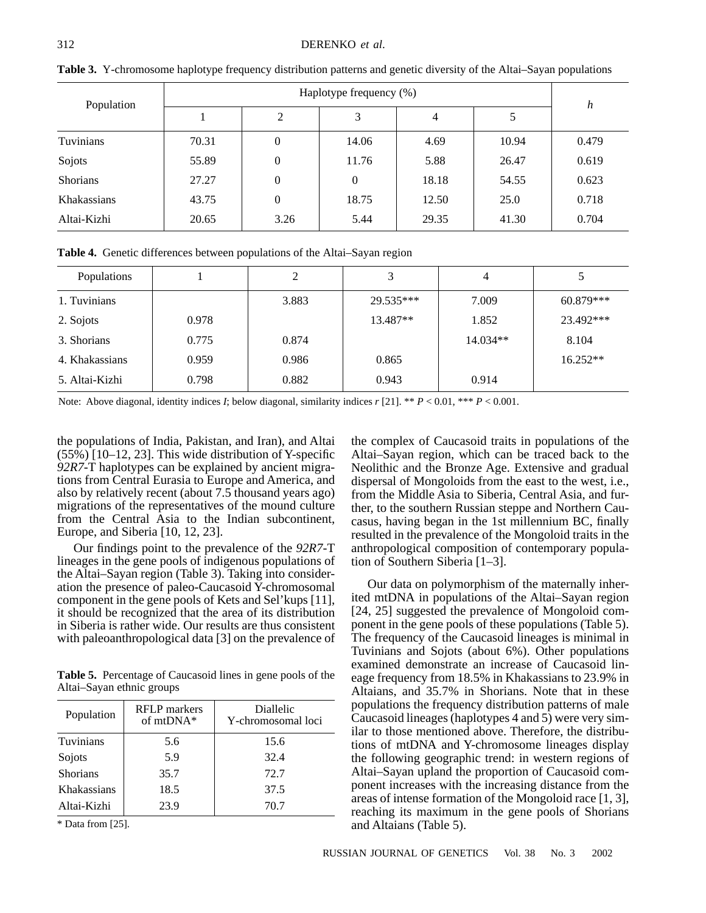| Population         |       |                |          |       |       |       |
|--------------------|-------|----------------|----------|-------|-------|-------|
|                    |       | 2              | 3        | 4     |       | h     |
| Tuvinians          | 70.31 | $\theta$       | 14.06    | 4.69  | 10.94 | 0.479 |
| Sojots             | 55.89 | $\theta$       | 11.76    | 5.88  | 26.47 | 0.619 |
| Shorians           | 27.27 | $\overline{0}$ | $\Omega$ | 18.18 | 54.55 | 0.623 |
| <b>Khakassians</b> | 43.75 | $\theta$       | 18.75    | 12.50 | 25.0  | 0.718 |
| Altai-Kizhi        | 20.65 | 3.26           | 5.44     | 29.35 | 41.30 | 0.704 |

**Table 3.** Y-chromosome haplotype frequency distribution patterns and genetic diversity of the Altai–Sayan populations

**Table 4.** Genetic differences between populations of the Altai–Sayan region

| Populations    |       | C     |           | 4          |             |
|----------------|-------|-------|-----------|------------|-------------|
| 1. Tuvinians   |       | 3.883 | 29.535*** | 7.009      | $60.879***$ |
| 2. Sojots      | 0.978 |       | 13.487**  | 1.852      | 23.492***   |
| 3. Shorians    | 0.775 | 0.874 |           | $14.034**$ | 8.104       |
| 4. Khakassians | 0.959 | 0.986 | 0.865     |            | $16.252**$  |
| 5. Altai-Kizhi | 0.798 | 0.882 | 0.943     | 0.914      |             |

Note: Above diagonal, identity indices *I*; below diagonal, similarity indices *r* [21]. \*\* *P* < 0.01, \*\*\* *P* < 0.001.

the populations of India, Pakistan, and Iran), and Altai (55%) [10–12, 23]. This wide distribution of Y-specific *92R7*-T haplotypes can be explained by ancient migrations from Central Eurasia to Europe and America, and also by relatively recent (about 7.5 thousand years ago) migrations of the representatives of the mound culture from the Central Asia to the Indian subcontinent, Europe, and Siberia [10, 12, 23].

Our findings point to the prevalence of the *92R7*-T lineages in the gene pools of indigenous populations of the Altai–Sayan region (Table 3). Taking into consideration the presence of paleo-Caucasoid Y-chromosomal component in the gene pools of Kets and Sel'kups [11], it should be recognized that the area of its distribution in Siberia is rather wide. Our results are thus consistent with paleoanthropological data [3] on the prevalence of

**Table 5.** Percentage of Caucasoid lines in gene pools of the Altai–Sayan ethnic groups

| Population  | <b>RFLP</b> markers<br>of mtDNA* | Diallelic<br>Y-chromosomal loci |  |  |
|-------------|----------------------------------|---------------------------------|--|--|
| Tuvinians   | 5.6                              | 15.6                            |  |  |
| Sojots      | 5.9                              | 32.4                            |  |  |
| Shorians    | 35.7                             | 72.7                            |  |  |
| Khakassians | 18.5                             | 37.5                            |  |  |
| Altai-Kizhi | 23.9                             | 70.7                            |  |  |

\* Data from [25].

the complex of Caucasoid traits in populations of the Altai–Sayan region, which can be traced back to the Neolithic and the Bronze Age. Extensive and gradual dispersal of Mongoloids from the east to the west, i.e., from the Middle Asia to Siberia, Central Asia, and further, to the southern Russian steppe and Northern Caucasus, having began in the 1st millennium BC, finally resulted in the prevalence of the Mongoloid traits in the anthropological composition of contemporary population of Southern Siberia [1–3].

Our data on polymorphism of the maternally inherited mtDNA in populations of the Altai–Sayan region [24, 25] suggested the prevalence of Mongoloid component in the gene pools of these populations (Table 5). The frequency of the Caucasoid lineages is minimal in Tuvinians and Sojots (about 6%). Other populations examined demonstrate an increase of Caucasoid lineage frequency from 18.5% in Khakassians to 23.9% in Altaians, and 35.7% in Shorians. Note that in these populations the frequency distribution patterns of male Caucasoid lineages (haplotypes 4 and 5) were very similar to those mentioned above. Therefore, the distributions of mtDNA and Y-chromosome lineages display the following geographic trend: in western regions of Altai–Sayan upland the proportion of Caucasoid component increases with the increasing distance from the areas of intense formation of the Mongoloid race [1, 3], reaching its maximum in the gene pools of Shorians and Altaians (Table 5).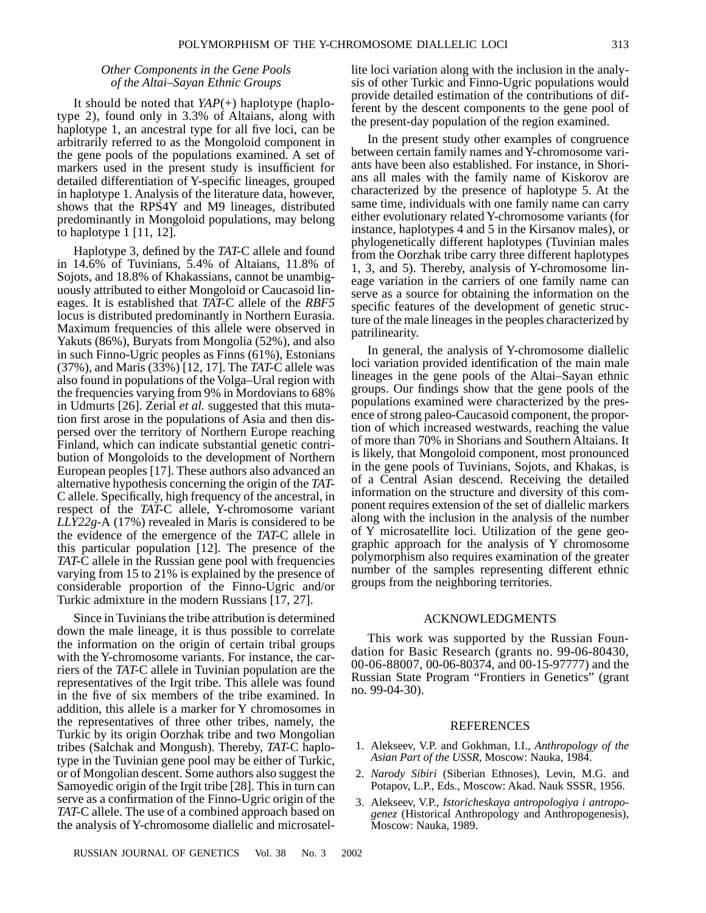## *Other Components in the Gene Pools of the Altai–Sayan Ethnic Groups*

It should be noted that *YAP*(+) haplotype (haplotype 2), found only in 3.3% of Altaians, along with haplotype 1, an ancestral type for all five loci, can be arbitrarily referred to as the Mongoloid component in the gene pools of the populations examined. A set of markers used in the present study is insufficient for detailed differentiation of Y-specific lineages, grouped in haplotype 1. Analysis of the literature data, however, shows that the RPS4Y and M9 lineages, distributed predominantly in Mongoloid populations, may belong to haplotype 1 [11, 12].

Haplotype 3, defined by the *TAT*-C allele and found in 14.6% of Tuvinians, 5.4% of Altaians, 11.8% of Sojots, and 18.8% of Khakassians, cannot be unambiguously attributed to either Mongoloid or Caucasoid lineages. It is established that *TAT*-C allele of the *RBF5* locus is distributed predominantly in Northern Eurasia. Maximum frequencies of this allele were observed in Yakuts (86%), Buryats from Mongolia (52%), and also in such Finno-Ugric peoples as Finns (61%), Estonians (37%), and Maris (33%) [12, 17]. The *TAT*-C allele was also found in populations of the Volga–Ural region with the frequencies varying from 9% in Mordovians to 68% in Udmurts [26]. Zerial *et al.* suggested that this mutation first arose in the populations of Asia and then dispersed over the territory of Northern Europe reaching Finland, which can indicate substantial genetic contribution of Mongoloids to the development of Northern European peoples [17]. These authors also advanced an alternative hypothesis concerning the origin of the *TAT*-C allele. Specifically, high frequency of the ancestral, in respect of the *TAT*-C allele, Y-chromosome variant *LLY22g*-A (17%) revealed in Maris is considered to be the evidence of the emergence of the *TAT*-C allele in this particular population [12]. The presence of the *TAT*-C allele in the Russian gene pool with frequencies varying from 15 to 21% is explained by the presence of considerable proportion of the Finno-Ugric and/or Turkic admixture in the modern Russians [17, 27].

Since in Tuvinians the tribe attribution is determined down the male lineage, it is thus possible to correlate the information on the origin of certain tribal groups with the Y-chromosome variants. For instance, the carriers of the *TAT*-C allele in Tuvinian population are the representatives of the Irgit tribe. This allele was found in the five of six members of the tribe examined. In addition, this allele is a marker for Y chromosomes in the representatives of three other tribes, namely, the Turkic by its origin Oorzhak tribe and two Mongolian tribes (Salchak and Mongush). Thereby, *TAT*-C haplotype in the Tuvinian gene pool may be either of Turkic, or of Mongolian descent. Some authors also suggest the Samoyedic origin of the Irgit tribe [28]. This in turn can serve as a confirmation of the Finno-Ugric origin of the *TAT*-C allele. The use of a combined approach based on the analysis of Y-chromosome diallelic and microsatellite loci variation along with the inclusion in the analysis of other Turkic and Finno-Ugric populations would provide detailed estimation of the contributions of different by the descent components to the gene pool of the present-day population of the region examined.

In the present study other examples of congruence between certain family names and Y-chromosome variants have been also established. For instance, in Shorians all males with the family name of Kiskorov are characterized by the presence of haplotype 5. At the same time, individuals with one family name can carry either evolutionary related Y-chromosome variants (for instance, haplotypes 4 and 5 in the Kirsanov males), or phylogenetically different haplotypes (Tuvinian males from the Oorzhak tribe carry three different haplotypes 1, 3, and 5). Thereby, analysis of Y-chromosome lineage variation in the carriers of one family name can serve as a source for obtaining the information on the specific features of the development of genetic structure of the male lineages in the peoples characterized by patrilinearity.

In general, the analysis of Y-chromosome diallelic loci variation provided identification of the main male lineages in the gene pools of the Altai–Sayan ethnic groups. Our findings show that the gene pools of the populations examined were characterized by the presence of strong paleo-Caucasoid component, the proportion of which increased westwards, reaching the value of more than 70% in Shorians and Southern Altaians. It is likely, that Mongoloid component, most pronounced in the gene pools of Tuvinians, Sojots, and Khakas, is of a Central Asian descend. Receiving the detailed information on the structure and diversity of this component requires extension of the set of diallelic markers along with the inclusion in the analysis of the number of Y microsatellite loci. Utilization of the gene geographic approach for the analysis of Y chromosome polymorphism also requires examination of the greater number of the samples representing different ethnic groups from the neighboring territories.

#### ACKNOWLEDGMENTS

This work was supported by the Russian Foundation for Basic Research (grants no. 99-06-80430, 00-06-88007, 00-06-80374, and 00-15-97777) and the Russian State Program "Frontiers in Genetics" (grant no. 99-04-30).

#### REFERENCES

- 1. Alekseev, V.P. and Gokhman, I.I., *Anthropology of the Asian Part of the USSR*, Moscow: Nauka, 1984.
- 2. *Narody Sibiri* (Siberian Ethnoses), Levin, M.G. and Potapov, L.P., Eds., Moscow: Akad. Nauk SSSR, 1956.
- 3. Alekseev, V.P., *Istoricheskaya antropologiya i antropogenez* (Historical Anthropology and Anthropogenesis), Moscow: Nauka, 1989.